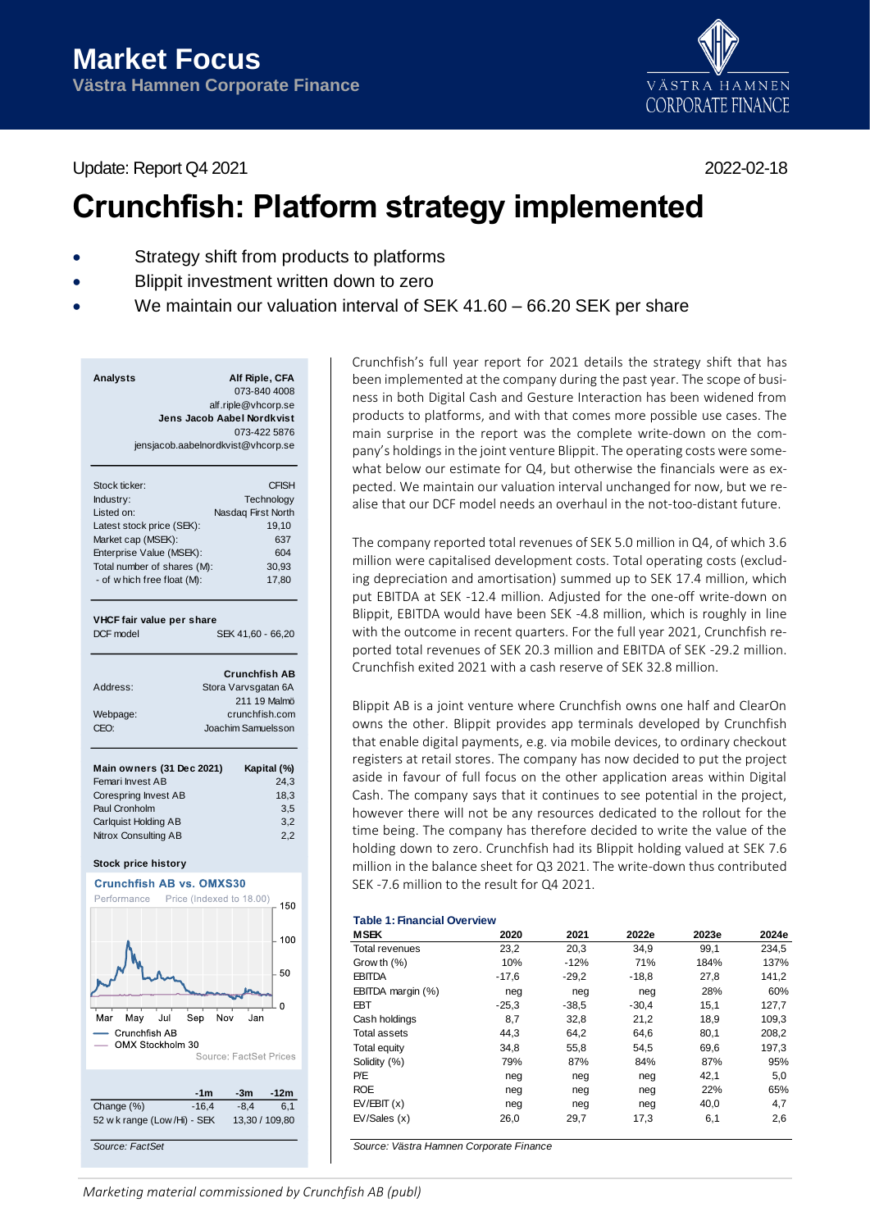



# **Crunchfish: Platform strategy implemented**

- Strategy shift from products to platforms
- Blippit investment written down to zero
- We maintain our valuation interval of SEK 41.60 66.20 SEK per share

| Analysts | Alf Riple, CFA                     |
|----------|------------------------------------|
|          | 073-840 4008                       |
|          | alf.riple@vhcorp.se                |
|          | Jens Jacob Aabel Nordkvist         |
|          | 073-422 5876                       |
|          | jensjacob.aabelnordkvist@vhcorp.se |

| Stock ticker:               | <b>CFISH</b>       |
|-----------------------------|--------------------|
| Industry:                   | Technology         |
| Listed on:                  | Nasdaq First North |
| Latest stock price (SEK):   | 19.10              |
| Market cap (MSEK):          | 637                |
| Enterprise Value (MSEK):    | 604                |
| Total number of shares (M): | 30.93              |
| - of w hich free float (M): | 17.80              |
|                             |                    |

## **VHCF fair value per share**

DCF model SEK 41,60 - 66,20

|                              | <b>Crunchfish AB</b>                |
|------------------------------|-------------------------------------|
| Address:                     | Stora Varvsgatan 6A<br>211 19 Malmö |
| Webpage:<br>CFO <sup>.</sup> | crunchfish.com                      |
|                              | Joachim Samuelsson                  |

| Main owners (31 Dec 2021) | Kapital (%) |
|---------------------------|-------------|
| Femari Invest AB          | 24.3        |
| Corespring Invest AB      | 18.3        |
| Paul Cronholm             | 3.5         |
| Carlquist Holding AB      | 3.2         |
| Nitrox Consulting AB      | 2.2         |

## **Stock price history**



Crunchfish's full year report for 2021 details the strategy shift that has been implemented at the company during the past year. The scope of business in both Digital Cash and Gesture Interaction has been widened from products to platforms, and with that comes more possible use cases. The main surprise in the report was the complete write-down on the company's holdings in the joint venture Blippit. The operating costs were somewhat below our estimate for Q4, but otherwise the financials were as expected. We maintain our valuation interval unchanged for now, but we realise that our DCF model needs an overhaul in the not-too-distant future.

The company reported total revenues of SEK 5.0 million in Q4, of which 3.6 million were capitalised development costs. Total operating costs (excluding depreciation and amortisation) summed up to SEK 17.4 million, which put EBITDA at SEK -12.4 million. Adjusted for the one-off write-down on Blippit, EBITDA would have been SEK -4.8 million, which is roughly in line with the outcome in recent quarters. For the full year 2021, Crunchfish reported total revenues of SEK 20.3 million and EBITDA of SEK -29.2 million. Crunchfish exited 2021 with a cash reserve of SEK 32.8 million.

Blippit AB is a joint venture where Crunchfish owns one half and ClearOn owns the other. Blippit provides app terminals developed by Crunchfish that enable digital payments, e.g. via mobile devices, to ordinary checkout registers at retail stores. The company has now decided to put the project aside in favour of full focus on the other application areas within Digital Cash. The company says that it continues to see potential in the project, however there will not be any resources dedicated to the rollout for the time being. The company has therefore decided to write the value of the holding down to zero. Crunchfish had its Blippit holding valued at SEK 7.6 million in the balance sheet for Q3 2021. The write-down thus contributed SEK -7.6 million to the result for Q4 2021.

# **Table 1: Financial Overview**

| <b>MSEK</b>         | 2020    | 2021    | 2022e   | 2023e | 2024e |
|---------------------|---------|---------|---------|-------|-------|
| Total revenues      | 23,2    | 20,3    | 34.9    | 99,1  | 234.5 |
| Grow th $(\%)$      | 10%     | $-12%$  | 71%     | 184%  | 137%  |
| <b>EBITDA</b>       | $-17,6$ | $-29.2$ | $-18,8$ | 27,8  | 141,2 |
| EBITDA margin (%)   | neg     | neg     | neg     | 28%   | 60%   |
| <b>EBT</b>          | $-25.3$ | $-38.5$ | $-30.4$ | 15.1  | 127,7 |
| Cash holdings       | 8,7     | 32,8    | 21,2    | 18,9  | 109,3 |
| Total assets        | 44,3    | 64,2    | 64,6    | 80,1  | 208,2 |
| <b>Total equity</b> | 34,8    | 55.8    | 54,5    | 69,6  | 197.3 |
| Solidity (%)        | 79%     | 87%     | 84%     | 87%   | 95%   |
| P/E                 | neg     | neg     | neg     | 42,1  | 5,0   |
| <b>ROE</b>          | neg     | neg     | neg     | 22%   | 65%   |
| EV/EBIT(x)          | neg     | neg     | neg     | 40,0  | 4,7   |
| EV/Sales(x)         | 26,0    | 29,7    | 17,3    | 6,1   | 2,6   |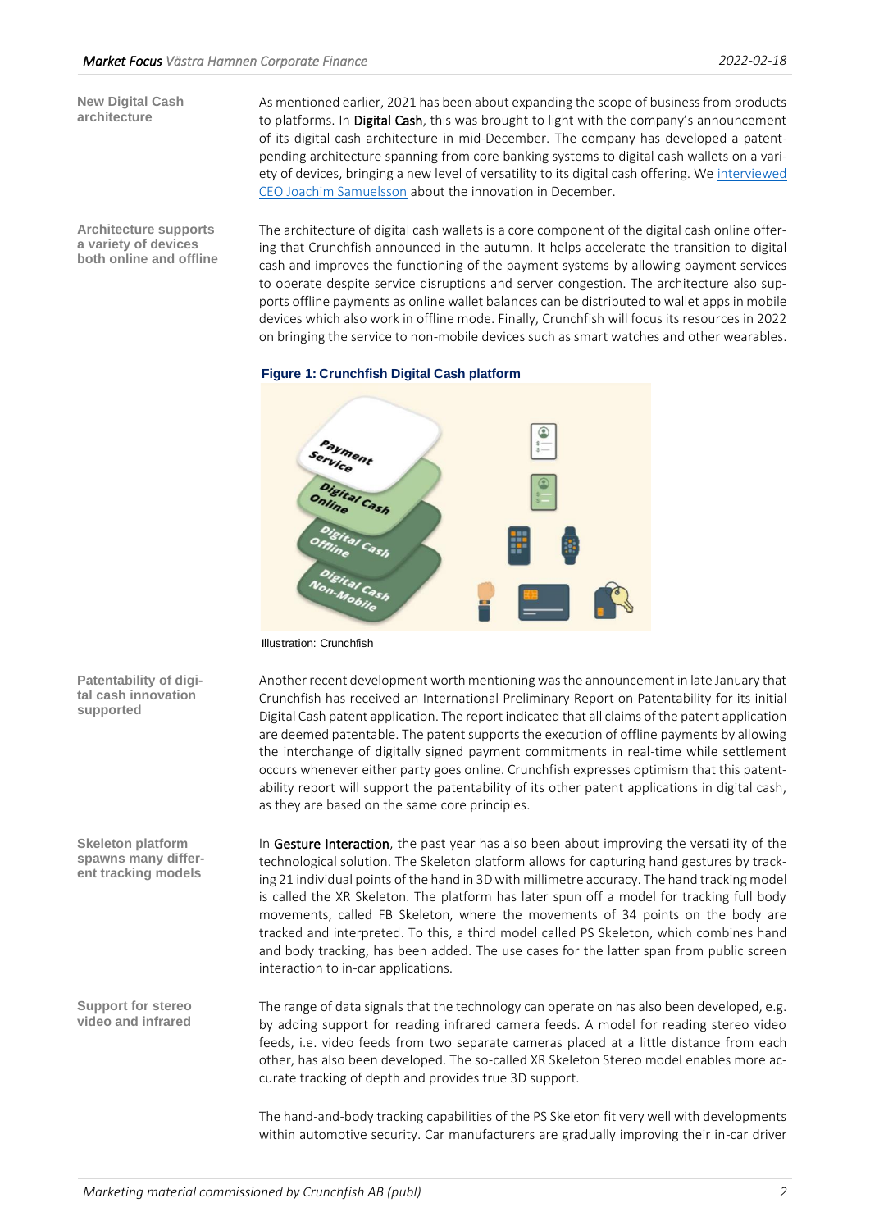**New Digital Cash architecture**

**Architecture supports a variety of devices both online and offline** As mentioned earlier, 2021 has been about expanding the scope of business from products to platforms. In Digital Cash, this was brought to light with the company's announcement of its digital cash architecture in mid-December. The company has developed a patentpending architecture spanning from core banking systems to digital cash wallets on a variety of devices, bringing a new level of versatility to its digital cash offering. We [interviewed](https://www.youtube.com/watch?v=wsX8ABeKO7Q)  [CEO Joachim Samuelsson](https://www.youtube.com/watch?v=wsX8ABeKO7Q) about the innovation in December.

The architecture of digital cash wallets is a core component of the digital cash online offering that Crunchfish announced in the autumn. It helps accelerate the transition to digital cash and improves the functioning of the payment systems by allowing payment services to operate despite service disruptions and server congestion. The architecture also supports offline payments as online wallet balances can be distributed to wallet apps in mobile devices which also work in offline mode. Finally, Crunchfish will focus its resources in 2022 on bringing the service to non-mobile devices such as smart watches and other wearables.



Illustration: Crunchfish

Another recent development worth mentioning was the announcement in late January that Crunchfish has received an International Preliminary Report on Patentability for its initial Digital Cash patent application. The report indicated that all claims of the patent application are deemed patentable. The patent supports the execution of offline payments by allowing the interchange of digitally signed payment commitments in real-time while settlement occurs whenever either party goes online. Crunchfish expresses optimism that this patentability report will support the patentability of its other patent applications in digital cash, as they are based on the same core principles.

In Gesture Interaction, the past year has also been about improving the versatility of the technological solution. The Skeleton platform allows for capturing hand gestures by tracking 21 individual points of the hand in 3D with millimetre accuracy. The hand tracking model is called the XR Skeleton. The platform has later spun off a model for tracking full body movements, called FB Skeleton, where the movements of 34 points on the body are tracked and interpreted. To this, a third model called PS Skeleton, which combines hand and body tracking, has been added. The use cases for the latter span from public screen interaction to in-car applications.

The range of data signals that the technology can operate on has also been developed, e.g. by adding support for reading infrared camera feeds. A model for reading stereo video feeds, i.e. video feeds from two separate cameras placed at a little distance from each other, has also been developed. The so-called XR Skeleton Stereo model enables more accurate tracking of depth and provides true 3D support.

The hand-and-body tracking capabilities of the PS Skeleton fit very well with developments

**Patentability of digital cash innovation supported**

**Skeleton platform spawns many different tracking models**

**Support for stereo video and infrared**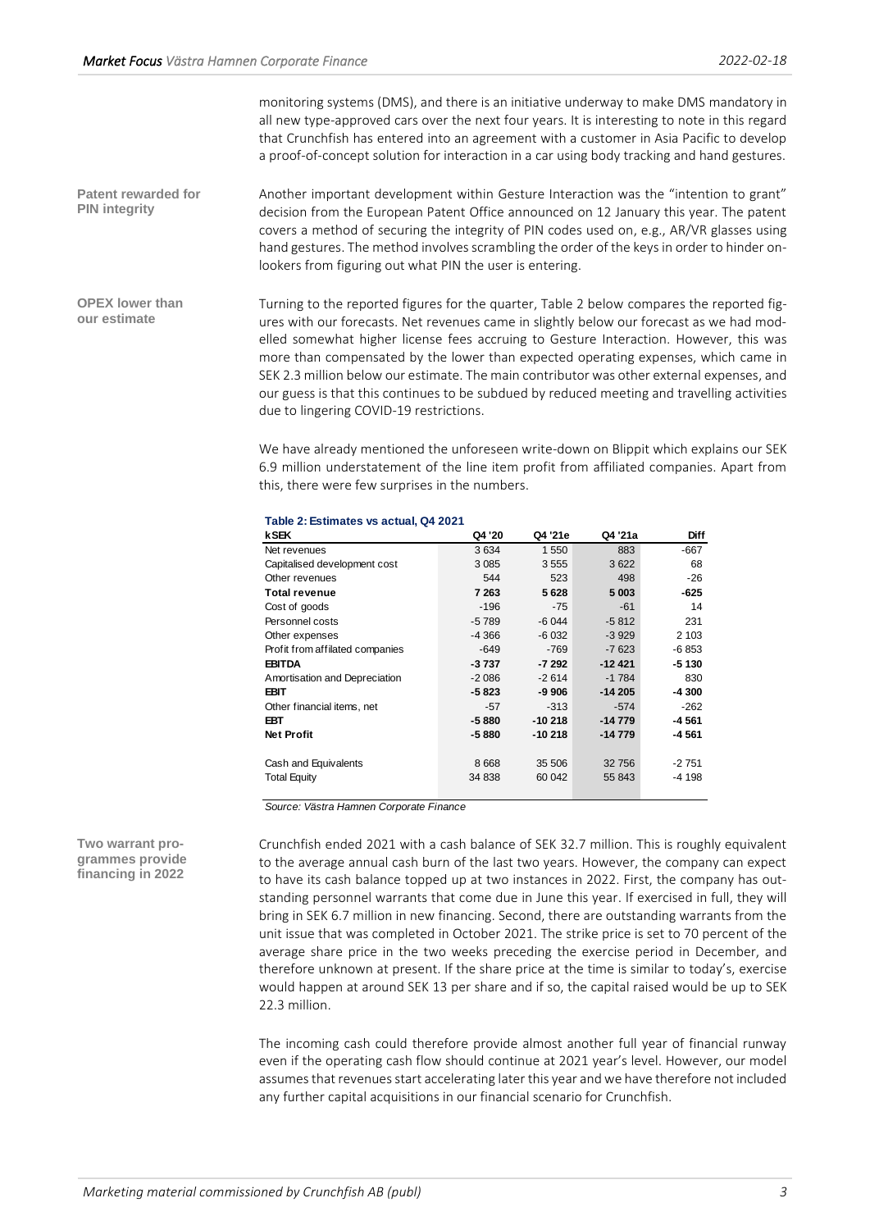monitoring systems (DMS), and there is an initiative underway to make DMS mandatory in all new type-approved cars over the next four years. It is interesting to note in this regard that Crunchfish has entered into an agreement with a customer in Asia Pacific to develop a proof-of-concept solution for interaction in a car using body tracking and hand gestures.

Another important development within Gesture Interaction was the "intention to grant" decision from the European Patent Office announced on 12 January this year. The patent covers a method of securing the integrity of PIN codes used on, e.g., AR/VR glasses using hand gestures. The method involves scrambling the order of the keys in order to hinder onlookers from figuring out what PIN the user is entering. **Patent rewarded for PIN integrity**

Turning to the reported figures for the quarter, Table 2 below compares the reported figures with our forecasts. Net revenues came in slightly below our forecast as we had modelled somewhat higher license fees accruing to Gesture Interaction. However, this was more than compensated by the lower than expected operating expenses, which came in SEK 2.3 million below our estimate. The main contributor was other external expenses, and our guess is that this continues to be subdued by reduced meeting and travelling activities due to lingering COVID-19 restrictions. **OPEX lower than our estimate**

> We have already mentioned the unforeseen write-down on Blippit which explains our SEK 6.9 million understatement of the line item profit from affiliated companies. Apart from this, there were few surprises in the numbers.

| Q4 '20  | Q4 '21e  | Q4 '21a  | Diff    |
|---------|----------|----------|---------|
| 3634    | 1 550    | 883      | $-667$  |
| 3 0 8 5 | 3555     | 3622     | 68      |
| 544     | 523      | 498      | $-26$   |
| 7 2 6 3 | 5628     | 5 003    | -625    |
| $-196$  | $-75$    | -61      | 14      |
| $-5789$ | $-6044$  | $-5812$  | 231     |
| $-4366$ | $-6032$  | $-3929$  | 2 103   |
| $-649$  | $-769$   | $-7623$  | $-6853$ |
| $-3737$ | -7 292   | $-12421$ | -5 130  |
| $-2086$ | $-2614$  | $-1784$  | 830     |
| $-5823$ | $-9906$  | $-14205$ | -4 300  |
| $-57$   | $-313$   | $-574$   | $-262$  |
| $-5880$ | $-10218$ | $-14779$ | -4 561  |
| $-5880$ | $-10218$ | $-14779$ | -4 561  |
|         |          |          |         |
| 8668    | 35 506   | 32 756   | $-2751$ |
| 34 838  | 60 042   | 55 843   | -4 198  |
|         |          |          |         |

# **Table 2: Estimates vs actual, Q4 2021**

*Source: Västra Hamnen Corporate Finance*

Crunchfish ended 2021 with a cash balance of SEK 32.7 million. This is roughly equivalent to the average annual cash burn of the last two years. However, the company can expect to have its cash balance topped up at two instances in 2022. First, the company has outstanding personnel warrants that come due in June this year. If exercised in full, they will bring in SEK 6.7 million in new financing. Second, there are outstanding warrants from the unit issue that was completed in October 2021. The strike price is set to 70 percent of the average share price in the two weeks preceding the exercise period in December, and therefore unknown at present. If the share price at the time is similar to today's, exercise would happen at around SEK 13 per share and if so, the capital raised would be up to SEK 22.3 million.

The incoming cash could therefore provide almost another full year of financial runway even if the operating cash flow should continue at 2021 year's level. However, our model assumes that revenues start accelerating later this year and we have therefore not included any further capital acquisitions in our financial scenario for Crunchfish.

**Two warrant programmes provide financing in 2022**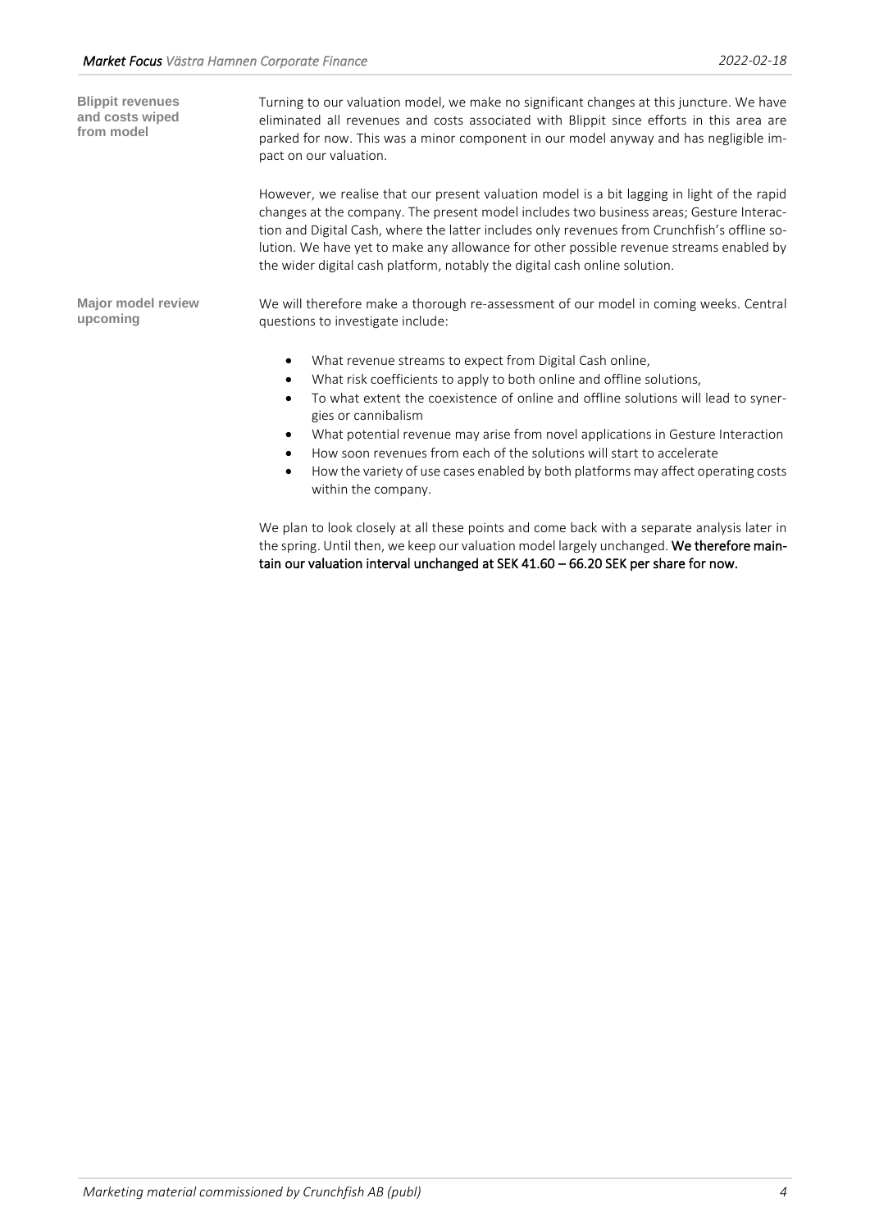Turning to our valuation model, we make no significant changes at this juncture. We have eliminated all revenues and costs associated with Blippit since efforts in this area are parked for now. This was a minor component in our model anyway and has negligible impact on our valuation. However, we realise that our present valuation model is a bit lagging in light of the rapid changes at the company. The present model includes two business areas; Gesture Interaction and Digital Cash, where the latter includes only revenues from Crunchfish's offline solution. We have yet to make any allowance for other possible revenue streams enabled by the wider digital cash platform, notably the digital cash online solution. We will therefore make a thorough re-assessment of our model in coming weeks. Central questions to investigate include: • What revenue streams to expect from Digital Cash online, What risk coefficients to apply to both online and offline solutions, • To what extent the coexistence of online and offline solutions will lead to synergies or cannibalism • What potential revenue may arise from novel applications in Gesture Interaction • How soon revenues from each of the solutions will start to accelerate • How the variety of use cases enabled by both platforms may affect operating costs within the company. **Blippit revenues and costs wiped from model Major model review upcoming**

> We plan to look closely at all these points and come back with a separate analysis later in the spring. Until then, we keep our valuation model largely unchanged. We therefore maintain our valuation interval unchanged at SEK 41.60 – 66.20 SEK per share for now.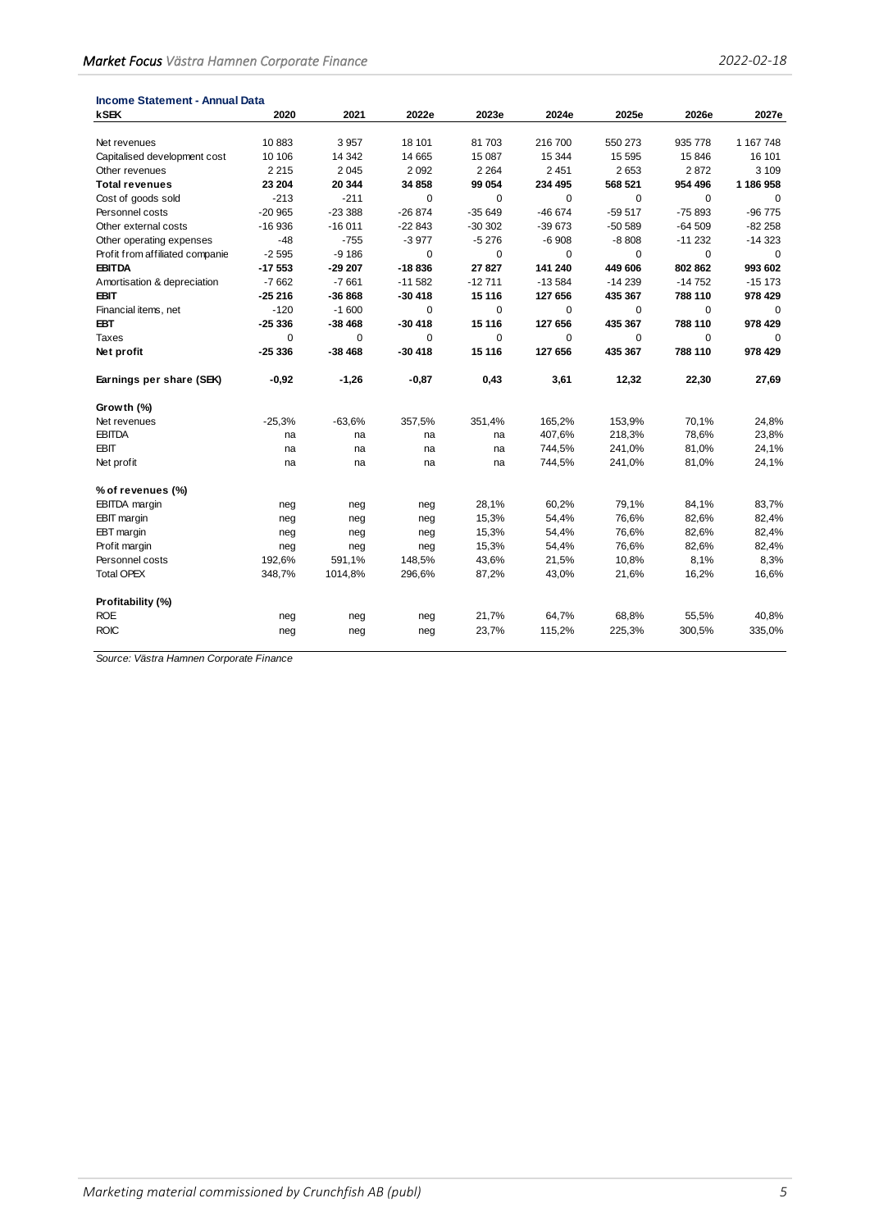| <b>Income Statement - Annual Data</b> |          |             |             |             |             |             |             |             |
|---------------------------------------|----------|-------------|-------------|-------------|-------------|-------------|-------------|-------------|
| <b>kSEK</b>                           | 2020     | 2021        | 2022e       | 2023e       | 2024e       | 2025e       | 2026e       | 2027e       |
| Net revenues                          | 10883    | 3957        | 18 101      | 81 703      | 216 700     | 550 273     | 935 778     | 1 167 748   |
| Capitalised development cost          | 10 10 6  | 14 342      | 14 665      | 15 087      | 15 344      | 15 5 95     | 15846       | 16 101      |
| Other revenues                        | 2 2 1 5  | 2 0 4 5     | 2 0 9 2     | 2 2 6 4     | 2451        | 2653        | 2872        | 3 1 0 9     |
| <b>Total revenues</b>                 | 23 204   | 20 344      | 34 858      | 99 054      | 234 495     | 568 521     | 954 496     | 1 186 958   |
| Cost of goods sold                    | $-213$   | $-211$      | $\mathbf 0$ | $\mathbf 0$ | $\mathbf 0$ | $\mathbf 0$ | $\mathbf 0$ | $\mathbf 0$ |
| Personnel costs                       | $-20965$ | $-23388$    | $-26874$    | $-35649$    | $-46674$    | $-59517$    | $-75893$    | $-96775$    |
| Other external costs                  | $-16936$ | $-16011$    | $-22843$    | $-30302$    | $-39673$    | $-50589$    | $-64509$    | $-82258$    |
| Other operating expenses              | $-48$    | $-755$      | $-3977$     | $-5276$     | $-6908$     | $-8808$     | $-11232$    | $-14323$    |
| Profit from affiliated companie       | $-2595$  | $-9186$     | $\mathbf 0$ | 0           | 0           | 0           | 0           | 0           |
| <b>EBITDA</b>                         | $-17553$ | $-29207$    | $-18836$    | 27 827      | 141 240     | 449 606     | 802 862     | 993 602     |
| Amortisation & depreciation           | $-7662$  | $-7661$     | $-11582$    | $-12711$    | $-13584$    | $-14239$    | $-14752$    | $-15173$    |
| <b>EBIT</b>                           | $-25216$ | $-36868$    | $-30418$    | 15 116      | 127 656     | 435 367     | 788 110     | 978 429     |
| Financial items, net                  | $-120$   | $-1600$     | 0           | 0           | $\Omega$    | $\Omega$    | 0           | $\mathbf 0$ |
| <b>EBT</b>                            | $-25336$ | $-38468$    | $-30418$    | 15 116      | 127 656     | 435 367     | 788 110     | 978 429     |
| Taxes                                 | $\Omega$ | $\mathbf 0$ | $\mathbf 0$ | $\Omega$    | $\Omega$    | $\Omega$    | $\mathbf 0$ |             |
| Net profit                            | $-25336$ | $-38468$    | $-30418$    | 15 116      | 127 656     | 435 367     | 788 110     | 978 429     |
| Earnings per share (SEK)              | $-0,92$  | $-1,26$     | -0,87       | 0,43        | 3,61        | 12,32       | 22,30       | 27,69       |
| Growth (%)                            |          |             |             |             |             |             |             |             |
| Net revenues                          | $-25,3%$ | $-63,6%$    | 357,5%      | 351,4%      | 165,2%      | 153,9%      | 70,1%       | 24,8%       |
| <b>EBITDA</b>                         | na       | na          | na          | na          | 407,6%      | 218,3%      | 78,6%       | 23,8%       |
| <b>EBIT</b>                           | na       | na          | na          | na          | 744,5%      | 241,0%      | 81,0%       | 24,1%       |
| Net profit                            | na       | na          | na          | na          | 744,5%      | 241,0%      | 81,0%       | 24,1%       |
| % of revenues (%)                     |          |             |             |             |             |             |             |             |
| <b>EBITDA</b> margin                  | neg      | neg         | neg         | 28,1%       | 60,2%       | 79,1%       | 84,1%       | 83,7%       |
| <b>EBIT</b> margin                    | neg      | neg         | neg         | 15,3%       | 54,4%       | 76,6%       | 82,6%       | 82,4%       |
| EBT margin                            | neg      | neg         | neg         | 15,3%       | 54,4%       | 76,6%       | 82,6%       | 82,4%       |
| Profit margin                         | neg      | neg         | neg         | 15,3%       | 54,4%       | 76,6%       | 82,6%       | 82,4%       |
| Personnel costs                       | 192,6%   | 591,1%      | 148,5%      | 43,6%       | 21,5%       | 10,8%       | 8,1%        | 8,3%        |
| <b>Total OPEX</b>                     | 348,7%   | 1014,8%     | 296,6%      | 87,2%       | 43,0%       | 21,6%       | 16,2%       | 16,6%       |
| Profitability (%)                     |          |             |             |             |             |             |             |             |
| <b>ROE</b>                            | neg      | neg         | neg         | 21,7%       | 64,7%       | 68,8%       | 55,5%       | 40,8%       |
| <b>ROIC</b>                           | neg      | neg         | neg         | 23,7%       | 115,2%      | 225,3%      | 300,5%      | 335,0%      |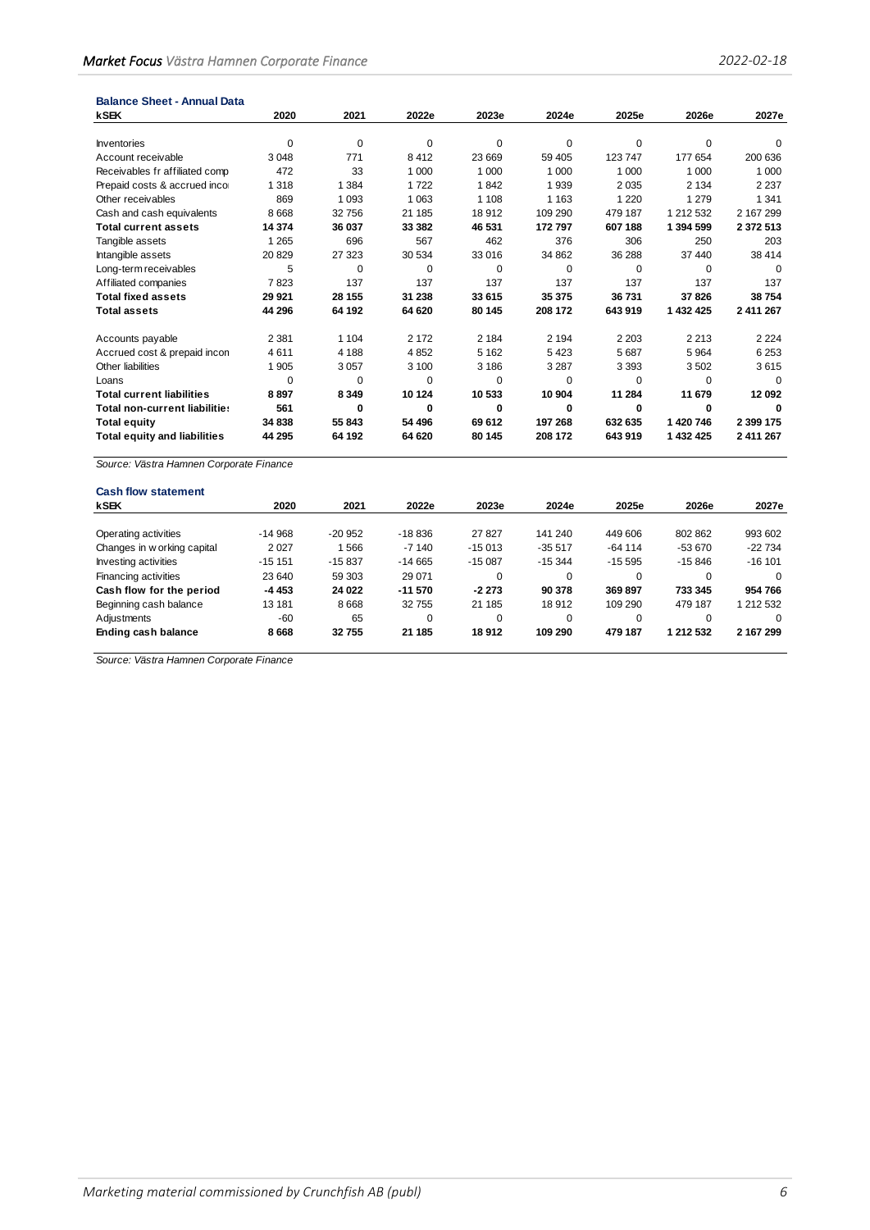| <b>Balance Sheet - Annual Data</b>      |          |          |         |          |          |          |           |               |
|-----------------------------------------|----------|----------|---------|----------|----------|----------|-----------|---------------|
| kSEK                                    | 2020     | 2021     | 2022e   | 2023e    | 2024e    | 2025e    | 2026e     | 2027e         |
|                                         |          |          |         |          |          |          |           |               |
| <b>Inventories</b>                      | 0        | 0        | 0       | $\Omega$ | 0        | $\Omega$ | 0         | 0             |
| Account receivable                      | 3 0 4 8  | 771      | 8412    | 23 669   | 59 40 5  | 123747   | 177 654   | 200 636       |
| Receivables fr affiliated comp          | 472      | 33       | 1 0 0 0 | 1 0 0 0  | 1 0 0 0  | 1 0 0 0  | 1 0 0 0   | 1 0 0 0       |
| Prepaid costs & accrued inco            | 1 3 1 8  | 1 3 8 4  | 1722    | 1842     | 1939     | 2035     | 2 1 3 4   | 2 2 3 7       |
| Other receivables                       | 869      | 1 0 9 3  | 1 0 6 3 | 1 1 0 8  | 1 1 6 3  | 1 2 2 0  | 1 2 7 9   | 1 3 4 1       |
| Cash and cash equivalents               | 8 6 6 8  | 32756    | 21 185  | 18912    | 109 290  | 479 187  | 1 212 532 | 2 167 299     |
| <b>Total current assets</b>             | 14 374   | 36 037   | 33 382  | 46 531   | 172 797  | 607 188  | 1 394 599 | 2 3 7 2 5 1 3 |
| Tangible assets                         | 1 2 6 5  | 696      | 567     | 462      | 376      | 306      | 250       | 203           |
| Intangible assets                       | 20829    | 27 323   | 30 534  | 33 016   | 34 862   | 36 288   | 37 440    | 38 414        |
| Long-term receivables                   | 5        | $\Omega$ | 0       | $\Omega$ | $\Omega$ | $\Omega$ | $\Omega$  | $\Omega$      |
| Affiliated companies                    | 7823     | 137      | 137     | 137      | 137      | 137      | 137       | 137           |
| <b>Total fixed assets</b>               | 29 9 21  | 28 155   | 31 238  | 33 615   | 35 375   | 36731    | 37826     | 38754         |
| <b>Total assets</b>                     | 44 296   | 64 192   | 64 620  | 80 145   | 208 172  | 643 919  | 1 432 425 | 2 411 267     |
| Accounts payable                        | 2 3 8 1  | 1 1 0 4  | 2 1 7 2 | 2 1 8 4  | 2 1 9 4  | 2 2 0 3  | 2 2 1 3   | 2 2 2 4       |
| Accrued cost & prepaid incon            | 4611     | 4 1 8 8  | 4852    | 5 1 6 2  | 5423     | 5687     | 5964      | 6 2 5 3       |
| Other liabilities                       | 1 9 0 5  | 3057     | 3 100   | 3 1 8 6  | 3 2 8 7  | 3 3 9 3  | 3502      | 3615          |
| Loans                                   | $\Omega$ | 0        | 0       | 0        | 0        | $\Omega$ | 0         | 0             |
| <b>Total current liabilities</b>        | 8897     | 8 3 4 9  | 10 124  | 10 533   | 10 904   | 11 284   | 11 679    | 12 092        |
| Total non-current liabilities           | 561      | $\Omega$ | 0       | 0        | 0        | 0        | 0         | n             |
| <b>Total equity</b>                     | 34 838   | 55 843   | 54 496  | 69 612   | 197 268  | 632 635  | 1420746   | 2 399 175     |
| <b>Total equity and liabilities</b>     | 44 295   | 64 192   | 64 620  | 80 145   | 208 172  | 643 919  | 1 432 425 | 2 411 267     |
| Source: Västra Hamnen Corporate Finance |          |          |         |          |          |          |           |               |

| <b>Cash flow statement</b>  |          |          |             |          |          |           |           |           |
|-----------------------------|----------|----------|-------------|----------|----------|-----------|-----------|-----------|
| <b>kSEK</b>                 | 2020     | 2021     | 2022e       | 2023e    | 2024e    | 2025e     | 2026e     | 2027e     |
|                             |          |          |             |          |          |           |           |           |
| Operating activities        | $-14968$ | $-20952$ | $-18836$    | 27827    | 141 240  | 449 606   | 802 862   | 993 602   |
| Changes in w orking capital | 2 0 2 7  | 566      | $-7140$     | $-15013$ | $-35517$ | $-64$ 114 | -53 670   | $-22734$  |
| Investing activities        | $-151$   | $-15837$ | $-14665$    | $-15087$ | $-15344$ | $-15.595$ | $-15846$  | $-16101$  |
| Financing activities        | 23 640   | 59 303   | 29 0 71     | $\Omega$ | 0        | $\Omega$  | $\Omega$  | $\Omega$  |
| Cash flow for the period    | -4 453   | 24 022   | $-11570$    | $-2273$  | 90 378   | 369897    | 733 345   | 954 766   |
| Beginning cash balance      | 13 181   | 8 6 6 8  | 32 755      | 21 185   | 18912    | 109 290   | 479 187   | 1 212 532 |
| Adjustments                 | $-60$    | 65       | $\mathbf 0$ | $\Omega$ | 0        | $\Omega$  | 0         | $\Omega$  |
| Ending cash balance         | 8668     | 32755    | 21 185      | 18912    | 109 290  | 479 187   | 1 212 532 | 2 167 299 |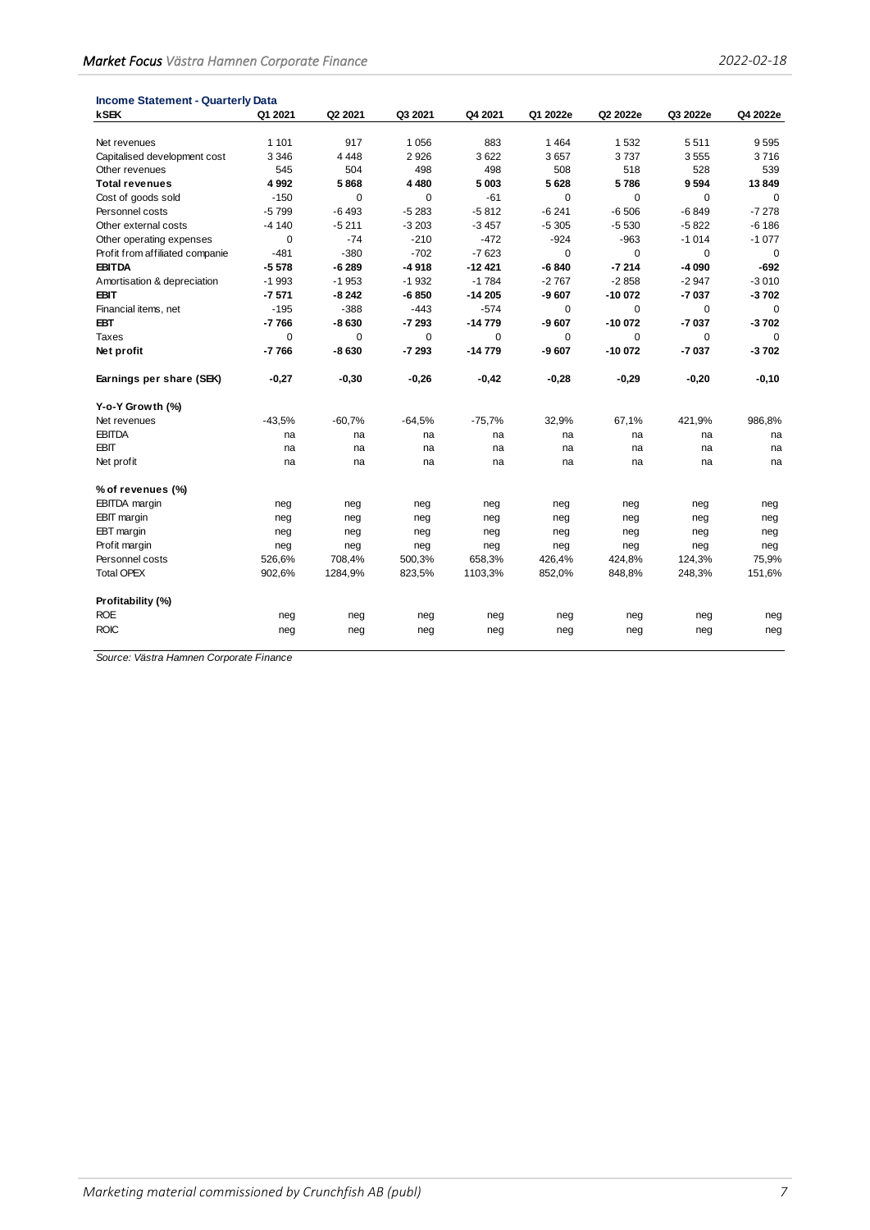| <b>Income Statement - Quarterly Data</b> |             |          |             |          |             |          |          |             |
|------------------------------------------|-------------|----------|-------------|----------|-------------|----------|----------|-------------|
| <b>kSEK</b>                              | Q1 2021     | Q2 2021  | Q3 2021     | Q4 2021  | Q1 2022e    | Q2 2022e | Q3 2022e | Q4 2022e    |
| Net revenues                             | 1 1 0 1     | 917      | 1056        | 883      | 1464        | 1 5 3 2  | 5511     | 9595        |
| Capitalised development cost             | 3 3 4 6     | 4 4 4 8  | 2926        | 3622     | 3657        | 3737     | 3555     | 3716        |
| Other revenues                           | 545         | 504      | 498         | 498      | 508         | 518      | 528      | 539         |
| <b>Total revenues</b>                    | 4 9 9 2     | 5868     | 4480        | 5003     | 5628        | 5786     | 9594     | 13849       |
| Cost of goods sold                       | $-150$      | 0        | $\mathbf 0$ | $-61$    | 0           | 0        | 0        | $\mathbf 0$ |
| Personnel costs                          | $-5799$     | $-6493$  | $-5283$     | $-5812$  | $-6241$     | $-6506$  | $-6849$  | $-7278$     |
| Other external costs                     | $-4140$     | $-5211$  | $-3203$     | $-3457$  | $-5305$     | $-5530$  | $-5822$  | $-6186$     |
| Other operating expenses                 | $\mathbf 0$ | $-74$    | $-210$      | $-472$   | $-924$      | -963     | $-1014$  | $-1077$     |
| Profit from affiliated companie          | $-481$      | $-380$   | $-702$      | $-7623$  | $\mathbf 0$ | 0        | 0        | $\mathbf 0$ |
| <b>EBITDA</b>                            | $-5578$     | $-6289$  | $-4918$     | $-12421$ | $-6840$     | $-7214$  | $-4090$  | $-692$      |
| Amortisation & depreciation              | $-1993$     | $-1953$  | $-1932$     | $-1784$  | $-2767$     | $-2858$  | $-2947$  | $-3010$     |
| <b>EBIT</b>                              | $-7571$     | $-8242$  | $-6850$     | $-14205$ | $-9607$     | $-10072$ | $-7037$  | $-3702$     |
| Financial items, net                     | $-195$      | $-388$   | $-443$      | $-574$   | $\Omega$    | $\Omega$ | 0        | $\Omega$    |
| <b>EBT</b>                               | $-7766$     | $-8630$  | $-7293$     | $-14779$ | -9 607      | $-10072$ | $-7037$  | $-3702$     |
| Taxes                                    | 0           | 0        | 0           | 0        | 0           | 0        | 0        | $\Omega$    |
| Net profit                               | $-7766$     | -8 630   | $-7293$     | $-14779$ | -9 607      | $-10072$ | $-7037$  | $-3702$     |
|                                          |             |          |             |          |             |          |          |             |
| Earnings per share (SEK)                 | -0,27       | $-0,30$  | -0,26       | $-0,42$  | -0,28       | $-0,29$  | $-0,20$  | $-0,10$     |
| Y-o-Y Growth (%)                         |             |          |             |          |             |          |          |             |
| Net revenues                             | $-43.5%$    | $-60,7%$ | $-64,5%$    | $-75,7%$ | 32,9%       | 67,1%    | 421,9%   | 986,8%      |
| <b>EBITDA</b>                            | na          | na       | na          | na       | na          | na       | na       | na          |
| EBIT                                     | na          | na       | na          | na       | na          | na       | na       | na          |
| Net profit                               | na          | na       | na          | na       | na          | na       | na       | na          |
| % of revenues (%)                        |             |          |             |          |             |          |          |             |
| <b>EBITDA</b> margin                     | neg         | neg      | neg         | neg      | neg         | neg      | neg      | neg         |
| <b>EBIT</b> margin                       | neg         | neg      | neg         | neg      | neg         | neg      | neg      | neg         |
| EBT margin                               | neg         | neg      | neg         | neg      | neg         | neg      | neg      | neg         |
| Prof it margin                           | neg         | neg      | neg         | neg      | neg         | neg      | neg      | neg         |
| Personnel costs                          | 526,6%      | 708,4%   | 500,3%      | 658,3%   | 426,4%      | 424,8%   | 124,3%   | 75,9%       |
| <b>Total OPEX</b>                        | 902,6%      | 1284,9%  | 823,5%      | 1103,3%  | 852,0%      | 848,8%   | 248,3%   | 151,6%      |
| Profitability (%)                        |             |          |             |          |             |          |          |             |
| <b>ROE</b>                               | neg         | neg      | neg         | neg      | neg         | neg      | neg      | neg         |
| <b>ROIC</b>                              | neg         | neg      | neg         | neg      | neg         | neg      | neg      | neg         |
|                                          |             |          |             |          |             |          |          |             |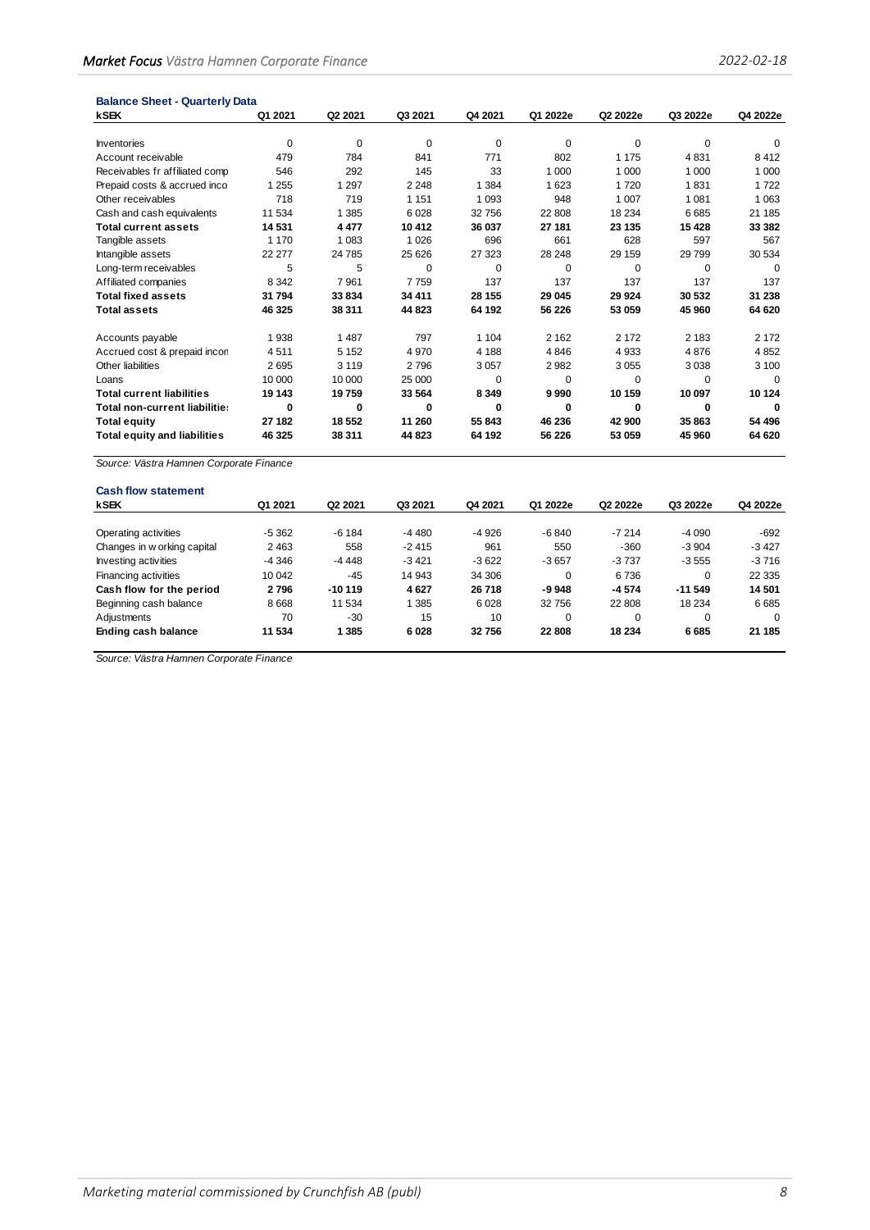| <b>Balance Sheet - Quarterly Data</b>   |         |          |             |          |          |          |          |          |
|-----------------------------------------|---------|----------|-------------|----------|----------|----------|----------|----------|
| <b>kSEK</b>                             | Q1 2021 | Q2 2021  | Q3 2021     | Q4 2021  | Q1 2022e | Q2 2022e | Q3 2022e | Q4 2022e |
| <b>Inventories</b>                      | 0       | 0        | $\mathbf 0$ | 0        | 0        | 0        | 0        | 0        |
| Account receivable                      | 479     | 784      | 841         | 771      | 802      | 1 1 7 5  | 4831     | 8412     |
| Receivables fr affiliated comp          | 546     | 292      | 145         | 33       | 1 0 0 0  | 1 0 0 0  | 1 0 0 0  | 1 0 0 0  |
| Prepaid costs & accrued inco            | 1 2 5 5 | 1 2 9 7  | 2 2 4 8     | 1 3 8 4  | 1 6 2 3  | 1720     | 1831     | 1722     |
| Other receivables                       | 718     | 719      | 1 1 5 1     | 1 0 9 3  | 948      | 1 0 0 7  | 1 0 8 1  | 1 0 6 3  |
| Cash and cash equivalents               | 11 534  | 1 3 8 5  | 6028        | 32756    | 22 808   | 18 2 34  | 6685     | 21 185   |
| <b>Total current assets</b>             | 14 531  | 4 4 7 7  | 10 412      | 36 037   | 27 181   | 23 135   | 15 4 28  | 33 382   |
| Tangible assets                         | 1 1 7 0 | 1 0 8 3  | 1 0 2 6     | 696      | 661      | 628      | 597      | 567      |
| Intangible assets                       | 22 277  | 24 785   | 25 6 26     | 27 323   | 28 248   | 29 159   | 29799    | 30 534   |
| Long-term receivables                   | 5       | 5        | $\mathbf 0$ | $\Omega$ | 0        | $\Omega$ | 0        | $\Omega$ |
| Affiliated companies                    | 8 3 4 2 | 7961     | 7759        | 137      | 137      | 137      | 137      | 137      |
| <b>Total fixed assets</b>               | 31794   | 33 834   | 34 411      | 28 155   | 29 045   | 29 9 24  | 30 532   | 31 238   |
| <b>Total assets</b>                     | 46 325  | 38 311   | 44 823      | 64 192   | 56 226   | 53 059   | 45 960   | 64 620   |
| Accounts payable                        | 1938    | 1 4 8 7  | 797         | 1 1 0 4  | 2 1 6 2  | 2 1 7 2  | 2 1 8 3  | 2 1 7 2  |
| Accrued cost & prepaid incon            | 4511    | 5 1 5 2  | 4 9 7 0     | 4 1 8 8  | 4846     | 4 9 3 3  | 4876     | 4852     |
| Other liabilities                       | 2695    | 3 1 1 9  | 2796        | 3057     | 2982     | 3 0 5 5  | 3038     | 3 100    |
| Loans                                   | 10 000  | 10 000   | 25 000      | $\Omega$ | $\Omega$ | 0        | $\Omega$ | $\Omega$ |
| <b>Total current liabilities</b>        | 19 143  | 19759    | 33 564      | 8 3 4 9  | 9990     | 10 159   | 10 097   | 10 124   |
| Total non-current liabilitie:           | 0       | $\bf{0}$ | $\bf{0}$    | 0        | 0        | 0        | 0        | 0        |
| <b>Total equity</b>                     | 27 182  | 18 5 52  | 11 260      | 55 843   | 46 236   | 42 900   | 35 863   | 54 496   |
| <b>Total equity and liabilities</b>     | 46 325  | 38 311   | 44 823      | 64 192   | 56 226   | 53 059   | 45 960   | 64 620   |
| Source: Västra Hamnen Corporate Finance |         |          |             |          |          |          |          |          |
| <b>Cash flow statement</b>              |         |          |             |          |          |          |          |          |

| <b>Cash flow statement</b>  |         |                     |         |         |          |          |          |          |
|-----------------------------|---------|---------------------|---------|---------|----------|----------|----------|----------|
| <b>kSEK</b>                 | Q1 2021 | Q <sub>2</sub> 2021 | Q3 2021 | Q4 2021 | Q1 2022e | Q2 2022e | Q3 2022e | Q4 2022e |
|                             |         |                     |         |         |          |          |          |          |
| Operating activities        | $-5362$ | $-6184$             | $-4480$ | $-4926$ | $-6840$  | $-7214$  | $-4090$  | $-692$   |
| Changes in w orking capital | 2 4 6 3 | 558                 | $-2415$ | 961     | 550      | $-360$   | $-3904$  | $-3427$  |
| Investing activities        | -4 346  | $-4448$             | $-3421$ | $-3622$ | $-3657$  | $-3737$  | $-3555$  | $-3716$  |
| Financing activities        | 10 042  | $-45$               | 14 943  | 34 306  | $\Omega$ | 6736     | 0        | 22 3 35  |
| Cash flow for the period    | 2796    | $-10119$            | 4627    | 26718   | $-9948$  | $-4574$  | $-11549$ | 14 501   |
| Beginning cash balance      | 8 6 6 8 | 11 534              | 1 385   | 6028    | 32 756   | 22 808   | 18 2 34  | 6685     |
| Adjustments                 | 70      | $-30$               | 15      | 10      | $\Omega$ | $\Omega$ | 0        | $\Omega$ |
| Ending cash balance         | 11 534  | 1 3 8 5             | 6028    | 32756   | 22 808   | 18 234   | 6685     | 21 185   |